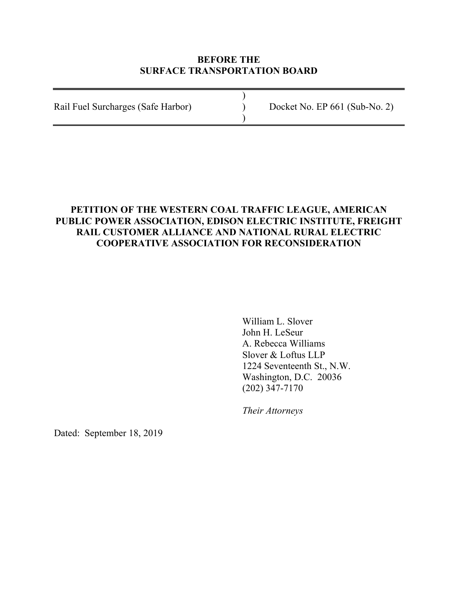#### **BEFORE THE SURFACE TRANSPORTATION BOARD**

) Rail Fuel Surcharges (Safe Harbor) ) Docket No. EP 661 (Sub-No. 2) )

# **PETITION OF THE WESTERN COAL TRAFFIC LEAGUE, AMERICAN PUBLIC POWER ASSOCIATION, EDISON ELECTRIC INSTITUTE, FREIGHT RAIL CUSTOMER ALLIANCE AND NATIONAL RURAL ELECTRIC COOPERATIVE ASSOCIATION FOR RECONSIDERATION**

William L. Slover John H. LeSeur A. Rebecca Williams Slover & Loftus LLP 1224 Seventeenth St., N.W. Washington, D.C. 20036 (202) 347-7170

*Their Attorneys*

Dated: September 18, 2019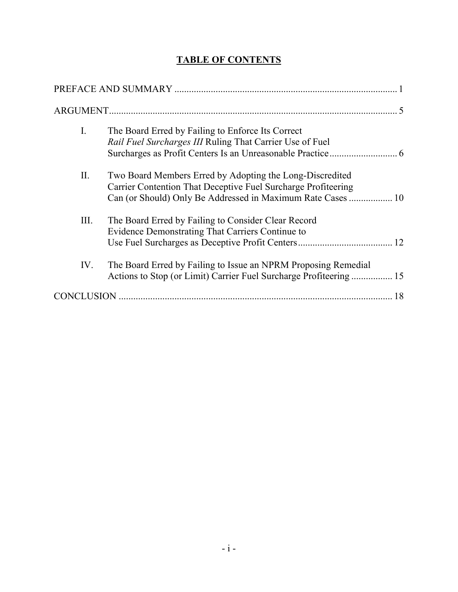# **TABLE OF CONTENTS**

| I.   | The Board Erred by Failing to Enforce Its Correct<br>Rail Fuel Surcharges III Ruling That Carrier Use of Fuel                                                                            |
|------|------------------------------------------------------------------------------------------------------------------------------------------------------------------------------------------|
| II.  | Two Board Members Erred by Adopting the Long-Discredited<br>Carrier Contention That Deceptive Fuel Surcharge Profiteering<br>Can (or Should) Only Be Addressed in Maximum Rate Cases  10 |
| III. | The Board Erred by Failing to Consider Clear Record<br>Evidence Demonstrating That Carriers Continue to                                                                                  |
| IV.  | The Board Erred by Failing to Issue an NPRM Proposing Remedial<br>Actions to Stop (or Limit) Carrier Fuel Surcharge Profiteering 15                                                      |
|      |                                                                                                                                                                                          |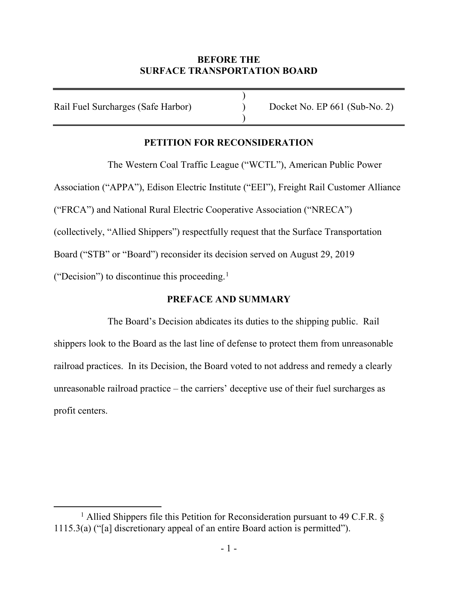### **BEFORE THE SURFACE TRANSPORTATION BOARD**

)

)

Rail Fuel Surcharges (Safe Harbor) (Docket No. EP 661 (Sub-No. 2)

# **PETITION FOR RECONSIDERATION**

The Western Coal Traffic League ("WCTL"), American Public Power Association ("APPA"), Edison Electric Institute ("EEI"), Freight Rail Customer Alliance ("FRCA") and National Rural Electric Cooperative Association ("NRECA") (collectively, "Allied Shippers") respectfully request that the Surface Transportation Board ("STB" or "Board") reconsider its decision served on August 29, 2019 ("Decision") to discontinue this proceeding. 1

## **PREFACE AND SUMMARY**

The Board's Decision abdicates its duties to the shipping public. Rail shippers look to the Board as the last line of defense to protect them from unreasonable railroad practices. In its Decision, the Board voted to not address and remedy a clearly unreasonable railroad practice – the carriers' deceptive use of their fuel surcharges as profit centers.

<sup>&</sup>lt;sup>1</sup> Allied Shippers file this Petition for Reconsideration pursuant to 49 C.F.R.  $\S$ 1115.3(a) ("[a] discretionary appeal of an entire Board action is permitted").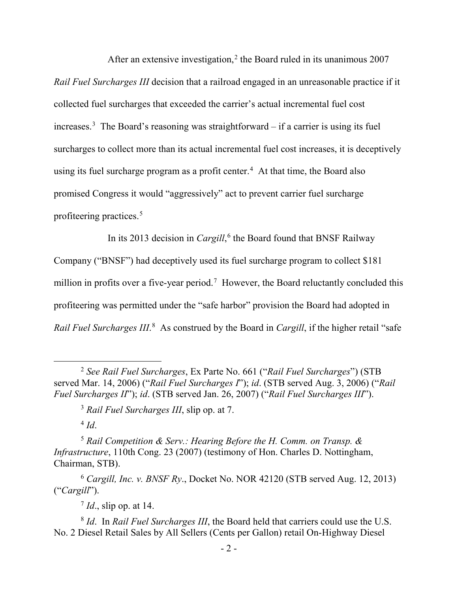After an extensive investigation,<sup>2</sup> the Board ruled in its unanimous 2007 *Rail Fuel Surcharges III* decision that a railroad engaged in an unreasonable practice if it collected fuel surcharges that exceeded the carrier's actual incremental fuel cost increases.3 The Board's reasoning was straightforward – if a carrier is using its fuel surcharges to collect more than its actual incremental fuel cost increases, it is deceptively using its fuel surcharge program as a profit center.<sup>4</sup> At that time, the Board also promised Congress it would "aggressively" act to prevent carrier fuel surcharge profiteering practices. 5

In its 2013 decision in *Cargill*, <sup>6</sup> the Board found that BNSF Railway

Company ("BNSF") had deceptively used its fuel surcharge program to collect \$181 million in profits over a five-year period.<sup>7</sup> However, the Board reluctantly concluded this profiteering was permitted under the "safe harbor" provision the Board had adopted in Rail Fuel Surcharges III.<sup>8</sup> As construed by the Board in *Cargill*, if the higher retail "safe

 $4$  *Id.* 

<sup>5</sup> *Rail Competition & Serv.: Hearing Before the H. Comm. on Transp. & Infrastructure*, 110th Cong. 23 (2007) (testimony of Hon. Charles D. Nottingham, Chairman, STB).

<sup>6</sup> *Cargill, Inc. v. BNSF Ry*., Docket No. NOR 42120 (STB served Aug. 12, 2013) ("*Cargill*").

<sup>7</sup> *Id*., slip op. at 14.

<sup>8</sup> *Id*. In *Rail Fuel Surcharges III*, the Board held that carriers could use the U.S. No. 2 Diesel Retail Sales by All Sellers (Cents per Gallon) retail On-Highway Diesel

 <sup>2</sup> *See Rail Fuel Surcharges*, Ex Parte No. 661 ("*Rail Fuel Surcharges*") (STB served Mar. 14, 2006) ("*Rail Fuel Surcharges I*"); *id*. (STB served Aug. 3, 2006) ("*Rail Fuel Surcharges II*"); *id*. (STB served Jan. 26, 2007) ("*Rail Fuel Surcharges III*").

<sup>3</sup> *Rail Fuel Surcharges III*, slip op. at 7.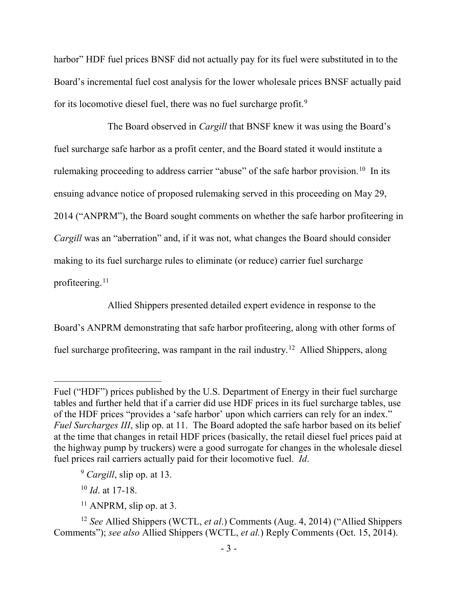harbor" HDF fuel prices BNSF did not actually pay for its fuel were substituted in to the Board's incremental fuel cost analysis for the lower wholesale prices BNSF actually paid for its locomotive diesel fuel, there was no fuel surcharge profit.<sup>9</sup>

The Board observed in *Cargill* that BNSF knew it was using the Board's fuel surcharge safe harbor as a profit center, and the Board stated it would institute a rulemaking proceeding to address carrier "abuse" of the safe harbor provision.<sup>10</sup> In its ensuing advance notice of proposed rulemaking served in this proceeding on May 29, 2014 ("ANPRM"), the Board sought comments on whether the safe harbor profiteering in *Cargill* was an "aberration" and, if it was not, what changes the Board should consider making to its fuel surcharge rules to eliminate (or reduce) carrier fuel surcharge profiteering. $11$ 

Allied Shippers presented detailed expert evidence in response to the Board's ANPRM demonstrating that safe harbor profiteering, along with other forms of fuel surcharge profiteering, was rampant in the rail industry.<sup>12</sup> Allied Shippers, along

<sup>10</sup> *Id*. at 17-18.

 $\overline{a}$ 

Fuel ("HDF") prices published by the U.S. Department of Energy in their fuel surcharge tables and further held that if a carrier did use HDF prices in its fuel surcharge tables, use of the HDF prices "provides a 'safe harbor' upon which carriers can rely for an index." *Fuel Surcharges III*, slip op. at 11. The Board adopted the safe harbor based on its belief at the time that changes in retail HDF prices (basically, the retail diesel fuel prices paid at the highway pump by truckers) were a good surrogate for changes in the wholesale diesel fuel prices rail carriers actually paid for their locomotive fuel. *Id*.

<sup>9</sup> *Cargill*, slip op. at 13.

 $11$  ANPRM, slip op. at 3.

<sup>12</sup> *See* Allied Shippers (WCTL, *et al*.) Comments (Aug. 4, 2014) ("Allied Shippers Comments"); *see also* Allied Shippers (WCTL, *et al.*) Reply Comments (Oct. 15, 2014).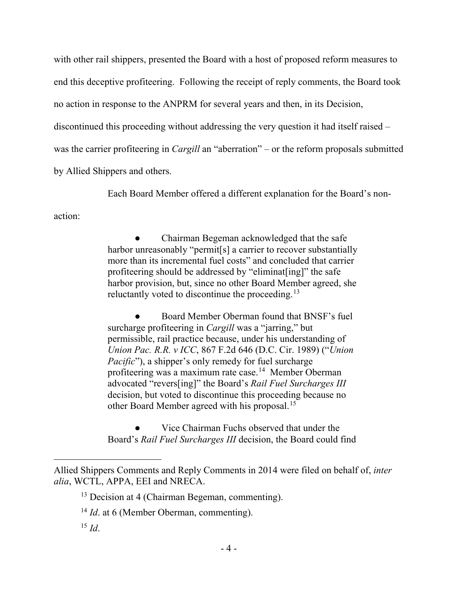with other rail shippers, presented the Board with a host of proposed reform measures to end this deceptive profiteering. Following the receipt of reply comments, the Board took no action in response to the ANPRM for several years and then, in its Decision, discontinued this proceeding without addressing the very question it had itself raised – was the carrier profiteering in *Cargill* an "aberration" – or the reform proposals submitted by Allied Shippers and others.

Each Board Member offered a different explanation for the Board's non-

action:

Chairman Begeman acknowledged that the safe harbor unreasonably "permit<sup>[s]</sup> a carrier to recover substantially more than its incremental fuel costs" and concluded that carrier profiteering should be addressed by "eliminat[ing]" the safe harbor provision, but, since no other Board Member agreed, she reluctantly voted to discontinue the proceeding.<sup>13</sup>

Board Member Oberman found that BNSF's fuel surcharge profiteering in *Cargill* was a "jarring," but permissible, rail practice because, under his understanding of *Union Pac. R.R. v ICC*, 867 F.2d 646 (D.C. Cir. 1989) ("*Union Pacific*"), a shipper's only remedy for fuel surcharge profiteering was a maximum rate case.14 Member Oberman advocated "revers[ing]" the Board's *Rail Fuel Surcharges III* decision, but voted to discontinue this proceeding because no other Board Member agreed with his proposal.<sup>15</sup>

Vice Chairman Fuchs observed that under the Board's *Rail Fuel Surcharges III* decision, the Board could find

 $\overline{a}$ 

Allied Shippers Comments and Reply Comments in 2014 were filed on behalf of, *inter alia*, WCTL, APPA, EEI and NRECA.

 $13$  Decision at 4 (Chairman Begeman, commenting).

<sup>&</sup>lt;sup>14</sup> *Id.* at 6 (Member Oberman, commenting).

 $^{15}$  *Id*.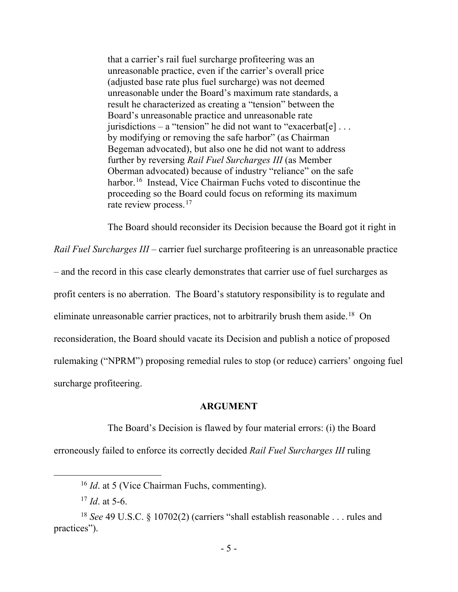that a carrier's rail fuel surcharge profiteering was an unreasonable practice, even if the carrier's overall price (adjusted base rate plus fuel surcharge) was not deemed unreasonable under the Board's maximum rate standards, a result he characterized as creating a "tension" between the Board's unreasonable practice and unreasonable rate jurisdictions – a "tension" he did not want to "exacerbat[e]... by modifying or removing the safe harbor" (as Chairman Begeman advocated), but also one he did not want to address further by reversing *Rail Fuel Surcharges III* (as Member Oberman advocated) because of industry "reliance" on the safe harbor. 16 Instead, Vice Chairman Fuchs voted to discontinue the proceeding so the Board could focus on reforming its maximum rate review process.<sup>17</sup>

The Board should reconsider its Decision because the Board got it right in

*Rail Fuel Surcharges III* – carrier fuel surcharge profiteering is an unreasonable practice – and the record in this case clearly demonstrates that carrier use of fuel surcharges as profit centers is no aberration. The Board's statutory responsibility is to regulate and eliminate unreasonable carrier practices, not to arbitrarily brush them aside.<sup>18</sup> On reconsideration, the Board should vacate its Decision and publish a notice of proposed rulemaking ("NPRM") proposing remedial rules to stop (or reduce) carriers' ongoing fuel surcharge profiteering.

#### **ARGUMENT**

The Board's Decision is flawed by four material errors: (i) the Board erroneously failed to enforce its correctly decided *Rail Fuel Surcharges III* ruling

 <sup>16</sup> *Id*. at 5 (Vice Chairman Fuchs, commenting).

 $17$  *Id.* at 5-6.

<sup>&</sup>lt;sup>18</sup> *See* 49 U.S.C. § 10702(2) (carriers "shall establish reasonable . . . rules and practices").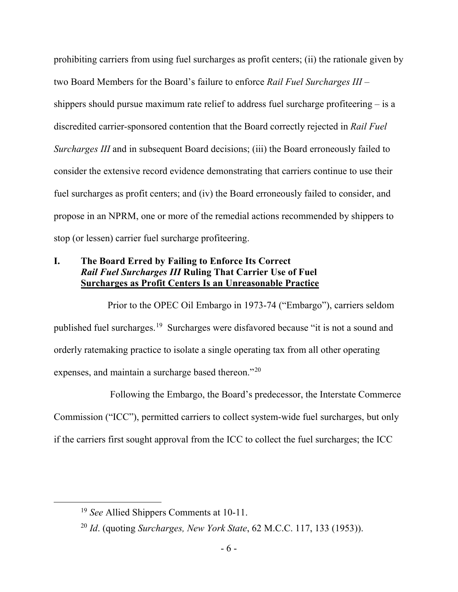prohibiting carriers from using fuel surcharges as profit centers; (ii) the rationale given by two Board Members for the Board's failure to enforce *Rail Fuel Surcharges III* – shippers should pursue maximum rate relief to address fuel surcharge profiteering – is a discredited carrier-sponsored contention that the Board correctly rejected in *Rail Fuel Surcharges III* and in subsequent Board decisions; (iii) the Board erroneously failed to consider the extensive record evidence demonstrating that carriers continue to use their fuel surcharges as profit centers; and (iv) the Board erroneously failed to consider, and propose in an NPRM, one or more of the remedial actions recommended by shippers to stop (or lessen) carrier fuel surcharge profiteering.

### **I. The Board Erred by Failing to Enforce Its Correct**  *Rail Fuel Surcharges III* **Ruling That Carrier Use of Fuel Surcharges as Profit Centers Is an Unreasonable Practice**

Prior to the OPEC Oil Embargo in 1973-74 ("Embargo"), carriers seldom published fuel surcharges.<sup>19</sup> Surcharges were disfavored because "it is not a sound and orderly ratemaking practice to isolate a single operating tax from all other operating expenses, and maintain a surcharge based thereon."<sup>20</sup>

Following the Embargo, the Board's predecessor, the Interstate Commerce Commission ("ICC"), permitted carriers to collect system-wide fuel surcharges, but only if the carriers first sought approval from the ICC to collect the fuel surcharges; the ICC

 <sup>19</sup> *See* Allied Shippers Comments at 10-11.

<sup>20</sup> *Id*. (quoting *Surcharges, New York State*, 62 M.C.C. 117, 133 (1953)).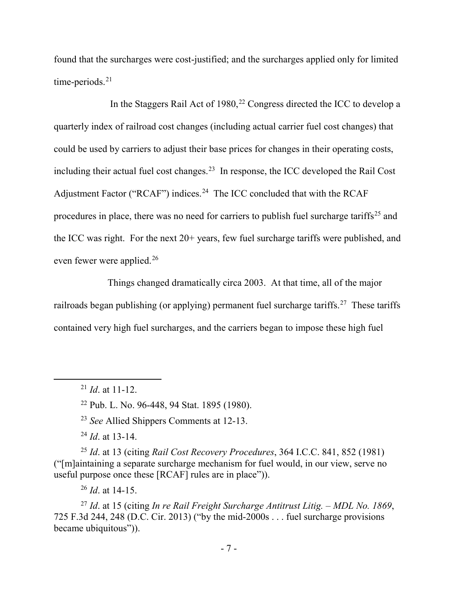found that the surcharges were cost-justified; and the surcharges applied only for limited time-periods.<sup>21</sup>

In the Staggers Rail Act of  $1980$ <sup>22</sup> Congress directed the ICC to develop a quarterly index of railroad cost changes (including actual carrier fuel cost changes) that could be used by carriers to adjust their base prices for changes in their operating costs, including their actual fuel cost changes. 23 In response, the ICC developed the Rail Cost Adjustment Factor ("RCAF") indices.<sup>24</sup> The ICC concluded that with the RCAF procedures in place, there was no need for carriers to publish fuel surcharge tariffs<sup>25</sup> and the ICC was right. For the next 20+ years, few fuel surcharge tariffs were published, and even fewer were applied.<sup>26</sup>

Things changed dramatically circa 2003. At that time, all of the major railroads began publishing (or applying) permanent fuel surcharge tariffs.<sup>27</sup> These tariffs contained very high fuel surcharges, and the carriers began to impose these high fuel

<sup>22</sup> Pub. L. No. 96-448, 94 Stat. 1895 (1980).

<sup>23</sup> *See* Allied Shippers Comments at 12-13.

<sup>24</sup> *Id*. at 13-14.

<sup>25</sup> *Id*. at 13 (citing *Rail Cost Recovery Procedures*, 364 I.C.C. 841, 852 (1981) ("[m]aintaining a separate surcharge mechanism for fuel would, in our view, serve no useful purpose once these [RCAF] rules are in place")).

<sup>26</sup> *Id*. at 14-15.

<sup>27</sup> *Id*. at 15 (citing *In re Rail Freight Surcharge Antitrust Litig. – MDL No. 1869*, 725 F.3d 244, 248 (D.C. Cir. 2013) ("by the mid-2000s . . . fuel surcharge provisions became ubiquitous")).

 <sup>21</sup> *Id*. at 11-12.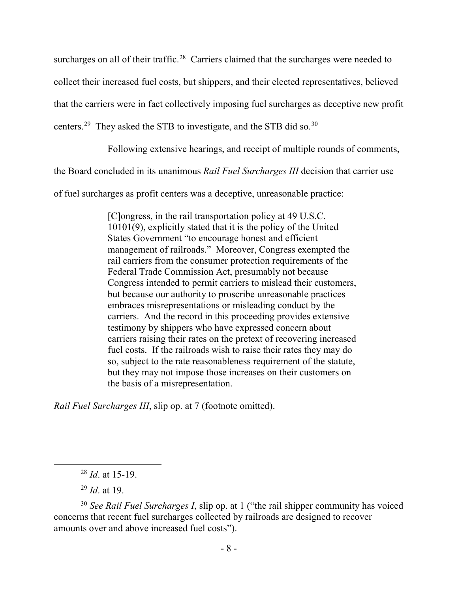surcharges on all of their traffic.<sup>28</sup> Carriers claimed that the surcharges were needed to collect their increased fuel costs, but shippers, and their elected representatives, believed that the carriers were in fact collectively imposing fuel surcharges as deceptive new profit centers.<sup>29</sup> They asked the STB to investigate, and the STB did so.<sup>30</sup>

Following extensive hearings, and receipt of multiple rounds of comments,

the Board concluded in its unanimous *Rail Fuel Surcharges III* decision that carrier use

of fuel surcharges as profit centers was a deceptive, unreasonable practice:

[C]ongress, in the rail transportation policy at 49 U.S.C. 10101(9), explicitly stated that it is the policy of the United States Government "to encourage honest and efficient management of railroads." Moreover, Congress exempted the rail carriers from the consumer protection requirements of the Federal Trade Commission Act, presumably not because Congress intended to permit carriers to mislead their customers, but because our authority to proscribe unreasonable practices embraces misrepresentations or misleading conduct by the carriers. And the record in this proceeding provides extensive testimony by shippers who have expressed concern about carriers raising their rates on the pretext of recovering increased fuel costs. If the railroads wish to raise their rates they may do so, subject to the rate reasonableness requirement of the statute, but they may not impose those increases on their customers on the basis of a misrepresentation.

*Rail Fuel Surcharges III*, slip op. at 7 (footnote omitted).

<sup>29</sup> *Id*. at 19.

 <sup>28</sup> *Id*. at 15-19.

<sup>30</sup> *See Rail Fuel Surcharges I*, slip op. at 1 ("the rail shipper community has voiced concerns that recent fuel surcharges collected by railroads are designed to recover amounts over and above increased fuel costs").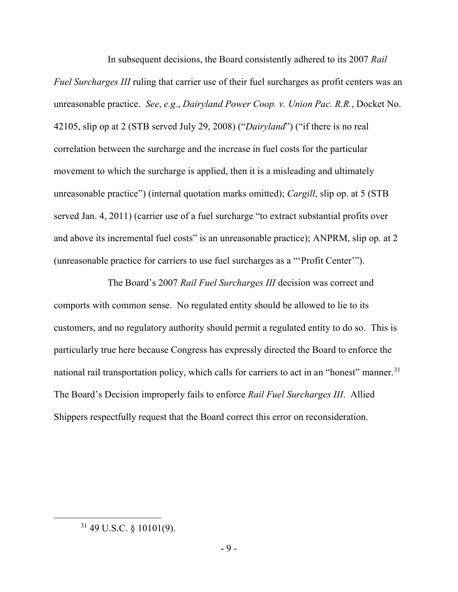In subsequent decisions, the Board consistently adhered to its 2007 *Rail Fuel Surcharges III* ruling that carrier use of their fuel surcharges as profit centers was an unreasonable practice. *See*, *e.g.*, *Dairyland Power Coop. v. Union Pac. R.R.*, Docket No. 42105, slip op at 2 (STB served July 29, 2008) ("*Dairyland*") ("if there is no real correlation between the surcharge and the increase in fuel costs for the particular movement to which the surcharge is applied, then it is a misleading and ultimately unreasonable practice") (internal quotation marks omitted); *Cargill*, slip op. at 5 (STB served Jan. 4, 2011) (carrier use of a fuel surcharge "to extract substantial profits over and above its incremental fuel costs" is an unreasonable practice); ANPRM, slip op. at 2 (unreasonable practice for carriers to use fuel surcharges as a "'Profit Center'").

The Board's 2007 *Rail Fuel Surcharges III* decision was correct and comports with common sense. No regulated entity should be allowed to lie to its customers, and no regulatory authority should permit a regulated entity to do so. This is particularly true here because Congress has expressly directed the Board to enforce the national rail transportation policy, which calls for carriers to act in an "honest" manner.<sup>31</sup> The Board's Decision improperly fails to enforce *Rail Fuel Surcharges III*. Allied Shippers respectfully request that the Board correct this error on reconsideration.

 <sup>31</sup> 49 U.S.C. § 10101(9).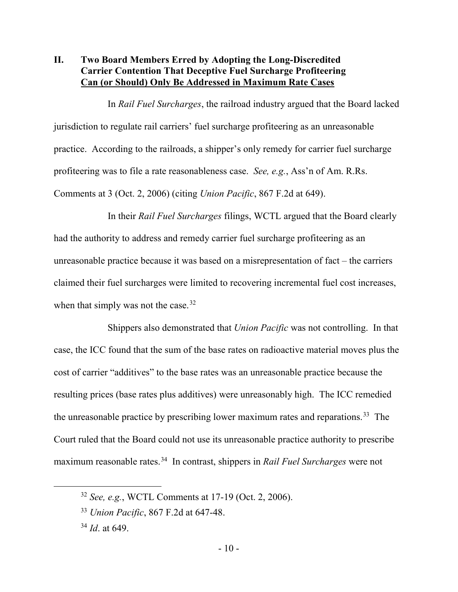#### **II. Two Board Members Erred by Adopting the Long-Discredited Carrier Contention That Deceptive Fuel Surcharge Profiteering Can (or Should) Only Be Addressed in Maximum Rate Cases**

In *Rail Fuel Surcharges*, the railroad industry argued that the Board lacked jurisdiction to regulate rail carriers' fuel surcharge profiteering as an unreasonable practice. According to the railroads, a shipper's only remedy for carrier fuel surcharge profiteering was to file a rate reasonableness case. *See, e.g.*, Ass'n of Am. R.Rs. Comments at 3 (Oct. 2, 2006) (citing *Union Pacific*, 867 F.2d at 649).

In their *Rail Fuel Surcharges* filings, WCTL argued that the Board clearly had the authority to address and remedy carrier fuel surcharge profiteering as an unreasonable practice because it was based on a misrepresentation of fact – the carriers claimed their fuel surcharges were limited to recovering incremental fuel cost increases, when that simply was not the case.<sup>32</sup>

Shippers also demonstrated that *Union Pacific* was not controlling. In that case, the ICC found that the sum of the base rates on radioactive material moves plus the cost of carrier "additives" to the base rates was an unreasonable practice because the resulting prices (base rates plus additives) were unreasonably high. The ICC remedied the unreasonable practice by prescribing lower maximum rates and reparations. <sup>33</sup> The Court ruled that the Board could not use its unreasonable practice authority to prescribe maximum reasonable rates.34 In contrast, shippers in *Rail Fuel Surcharges* were not

 <sup>32</sup> *See, e.g.*, WCTL Comments at 17-19 (Oct. 2, 2006).

<sup>33</sup> *Union Pacific*, 867 F.2d at 647-48.

<sup>34</sup> *Id*. at 649.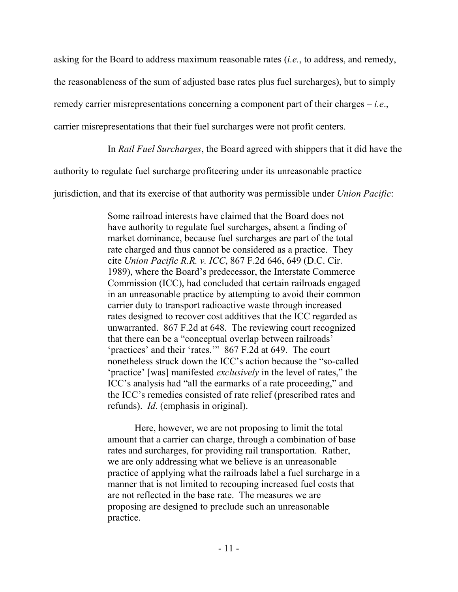asking for the Board to address maximum reasonable rates (*i.e.*, to address, and remedy,

the reasonableness of the sum of adjusted base rates plus fuel surcharges), but to simply

remedy carrier misrepresentations concerning a component part of their charges – *i.e*.,

carrier misrepresentations that their fuel surcharges were not profit centers.

In *Rail Fuel Surcharges*, the Board agreed with shippers that it did have the

authority to regulate fuel surcharge profiteering under its unreasonable practice

jurisdiction, and that its exercise of that authority was permissible under *Union Pacific*:

Some railroad interests have claimed that the Board does not have authority to regulate fuel surcharges, absent a finding of market dominance, because fuel surcharges are part of the total rate charged and thus cannot be considered as a practice. They cite *Union Pacific R.R. v. ICC*, 867 F.2d 646, 649 (D.C. Cir. 1989), where the Board's predecessor, the Interstate Commerce Commission (ICC), had concluded that certain railroads engaged in an unreasonable practice by attempting to avoid their common carrier duty to transport radioactive waste through increased rates designed to recover cost additives that the ICC regarded as unwarranted. 867 F.2d at 648. The reviewing court recognized that there can be a "conceptual overlap between railroads' 'practices' and their 'rates.'" 867 F.2d at 649. The court nonetheless struck down the ICC's action because the "so-called 'practice' [was] manifested *exclusively* in the level of rates," the ICC's analysis had "all the earmarks of a rate proceeding," and the ICC's remedies consisted of rate relief (prescribed rates and refunds). *Id*. (emphasis in original).

Here, however, we are not proposing to limit the total amount that a carrier can charge, through a combination of base rates and surcharges, for providing rail transportation. Rather, we are only addressing what we believe is an unreasonable practice of applying what the railroads label a fuel surcharge in a manner that is not limited to recouping increased fuel costs that are not reflected in the base rate. The measures we are proposing are designed to preclude such an unreasonable practice.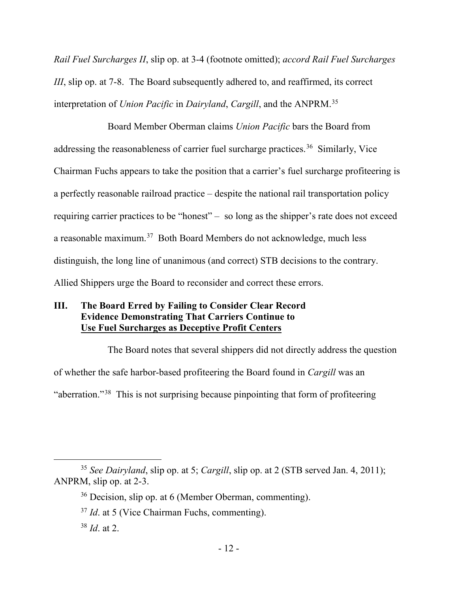*Rail Fuel Surcharges II*, slip op. at 3-4 (footnote omitted); *accord Rail Fuel Surcharges III*, slip op. at 7-8. The Board subsequently adhered to, and reaffirmed, its correct interpretation of *Union Pacific* in *Dairyland*, *Cargill*, and the ANPRM.35

Board Member Oberman claims *Union Pacific* bars the Board from addressing the reasonableness of carrier fuel surcharge practices.<sup>36</sup> Similarly, Vice Chairman Fuchs appears to take the position that a carrier's fuel surcharge profiteering is a perfectly reasonable railroad practice – despite the national rail transportation policy requiring carrier practices to be "honest" – so long as the shipper's rate does not exceed a reasonable maximum.37 Both Board Members do not acknowledge, much less distinguish, the long line of unanimous (and correct) STB decisions to the contrary. Allied Shippers urge the Board to reconsider and correct these errors.

## **III. The Board Erred by Failing to Consider Clear Record Evidence Demonstrating That Carriers Continue to Use Fuel Surcharges as Deceptive Profit Centers**

The Board notes that several shippers did not directly address the question of whether the safe harbor-based profiteering the Board found in *Cargill* was an

"aberration."38 This is not surprising because pinpointing that form of profiteering

 <sup>35</sup> *See Dairyland*, slip op. at 5; *Cargill*, slip op. at 2 (STB served Jan. 4, 2011); ANPRM, slip op. at 2-3.

<sup>36</sup> Decision, slip op. at 6 (Member Oberman, commenting).

<sup>37</sup> *Id*. at 5 (Vice Chairman Fuchs, commenting).

<sup>38</sup> *Id*. at 2.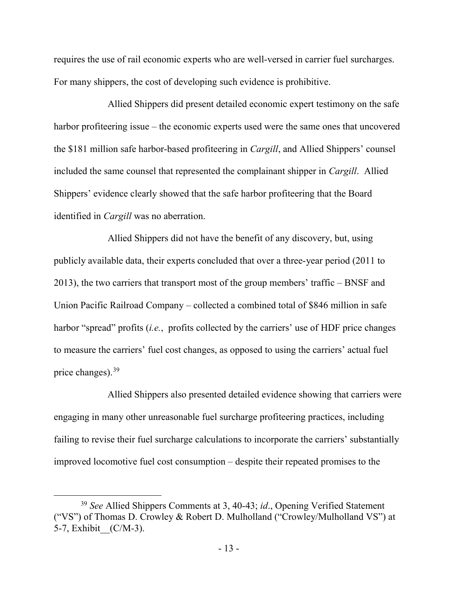requires the use of rail economic experts who are well-versed in carrier fuel surcharges. For many shippers, the cost of developing such evidence is prohibitive.

Allied Shippers did present detailed economic expert testimony on the safe harbor profiteering issue – the economic experts used were the same ones that uncovered the \$181 million safe harbor-based profiteering in *Cargill*, and Allied Shippers' counsel included the same counsel that represented the complainant shipper in *Cargill*. Allied Shippers' evidence clearly showed that the safe harbor profiteering that the Board identified in *Cargill* was no aberration.

Allied Shippers did not have the benefit of any discovery, but, using publicly available data, their experts concluded that over a three-year period (2011 to 2013), the two carriers that transport most of the group members' traffic – BNSF and Union Pacific Railroad Company – collected a combined total of \$846 million in safe harbor "spread" profits (*i.e.*, profits collected by the carriers' use of HDF price changes to measure the carriers' fuel cost changes, as opposed to using the carriers' actual fuel price changes). 39

Allied Shippers also presented detailed evidence showing that carriers were engaging in many other unreasonable fuel surcharge profiteering practices, including failing to revise their fuel surcharge calculations to incorporate the carriers' substantially improved locomotive fuel cost consumption – despite their repeated promises to the

 <sup>39</sup> *See* Allied Shippers Comments at 3, 40-43; *id*., Opening Verified Statement ("VS") of Thomas D. Crowley & Robert D. Mulholland ("Crowley/Mulholland VS") at 5-7, Exhibit (C/M-3).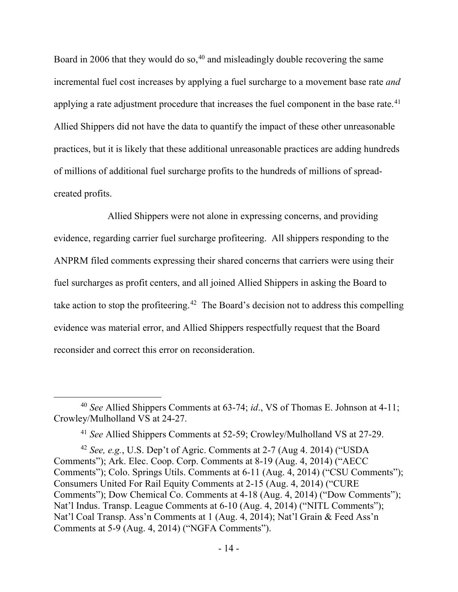Board in 2006 that they would do so,  $40$  and misleadingly double recovering the same incremental fuel cost increases by applying a fuel surcharge to a movement base rate *and*  applying a rate adjustment procedure that increases the fuel component in the base rate.<sup>41</sup> Allied Shippers did not have the data to quantify the impact of these other unreasonable practices, but it is likely that these additional unreasonable practices are adding hundreds of millions of additional fuel surcharge profits to the hundreds of millions of spreadcreated profits.

Allied Shippers were not alone in expressing concerns, and providing evidence, regarding carrier fuel surcharge profiteering. All shippers responding to the ANPRM filed comments expressing their shared concerns that carriers were using their fuel surcharges as profit centers, and all joined Allied Shippers in asking the Board to take action to stop the profiteering.<sup>42</sup> The Board's decision not to address this compelling evidence was material error, and Allied Shippers respectfully request that the Board reconsider and correct this error on reconsideration.

 <sup>40</sup> *See* Allied Shippers Comments at 63-74; *id*., VS of Thomas E. Johnson at 4-11; Crowley/Mulholland VS at 24-27.

<sup>41</sup> *See* Allied Shippers Comments at 52-59; Crowley/Mulholland VS at 27-29.

<sup>42</sup> *See, e.g.*, U.S. Dep't of Agric. Comments at 2-7 (Aug 4. 2014) ("USDA Comments"); Ark. Elec. Coop. Corp. Comments at 8-19 (Aug. 4, 2014) ("AECC Comments"); Colo. Springs Utils. Comments at 6-11 (Aug. 4, 2014) ("CSU Comments"); Consumers United For Rail Equity Comments at 2-15 (Aug. 4, 2014) ("CURE Comments"); Dow Chemical Co. Comments at 4-18 (Aug. 4, 2014) ("Dow Comments"); Nat'l Indus. Transp. League Comments at 6-10 (Aug. 4, 2014) ("NITL Comments"); Nat'l Coal Transp. Ass'n Comments at 1 (Aug. 4, 2014); Nat'l Grain & Feed Ass'n Comments at 5-9 (Aug. 4, 2014) ("NGFA Comments").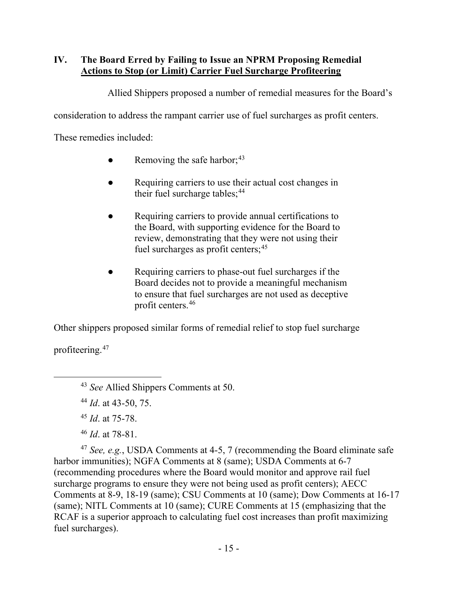# **IV. The Board Erred by Failing to Issue an NPRM Proposing Remedial Actions to Stop (or Limit) Carrier Fuel Surcharge Profiteering**

Allied Shippers proposed a number of remedial measures for the Board's

consideration to address the rampant carrier use of fuel surcharges as profit centers.

These remedies included:

- $\bullet$  Removing the safe harbor;<sup>43</sup>
- Requiring carriers to use their actual cost changes in their fuel surcharge tables;<sup>44</sup>
- Requiring carriers to provide annual certifications to the Board, with supporting evidence for the Board to review, demonstrating that they were not using their fuel surcharges as profit centers;<sup>45</sup>
- Requiring carriers to phase-out fuel surcharges if the Board decides not to provide a meaningful mechanism to ensure that fuel surcharges are not used as deceptive profit centers.46

Other shippers proposed similar forms of remedial relief to stop fuel surcharge

profiteering. 47

<sup>44</sup> *Id*. at 43-50, 75.

<sup>45</sup> *Id*. at 75-78.

<sup>46</sup> *Id*. at 78-81.

<sup>47</sup> *See, e.g.*, USDA Comments at 4-5, 7 (recommending the Board eliminate safe harbor immunities); NGFA Comments at 8 (same); USDA Comments at 6-7 (recommending procedures where the Board would monitor and approve rail fuel surcharge programs to ensure they were not being used as profit centers); AECC Comments at 8-9, 18-19 (same); CSU Comments at 10 (same); Dow Comments at 16-17 (same); NITL Comments at 10 (same); CURE Comments at 15 (emphasizing that the RCAF is a superior approach to calculating fuel cost increases than profit maximizing fuel surcharges).

 <sup>43</sup> *See* Allied Shippers Comments at 50.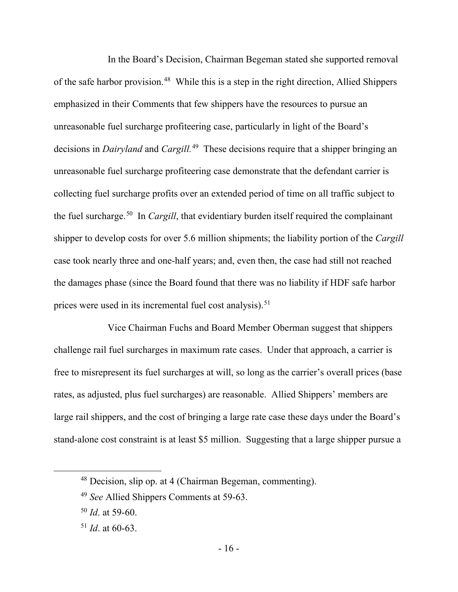In the Board's Decision, Chairman Begeman stated she supported removal of the safe harbor provision.<sup>48</sup> While this is a step in the right direction, Allied Shippers emphasized in their Comments that few shippers have the resources to pursue an unreasonable fuel surcharge profiteering case, particularly in light of the Board's decisions in *Dairyland* and *Cargill.* <sup>49</sup> These decisions require that a shipper bringing an unreasonable fuel surcharge profiteering case demonstrate that the defendant carrier is collecting fuel surcharge profits over an extended period of time on all traffic subject to the fuel surcharge.50 In *Cargill*, that evidentiary burden itself required the complainant shipper to develop costs for over 5.6 million shipments; the liability portion of the *Cargill* case took nearly three and one-half years; and, even then, the case had still not reached the damages phase (since the Board found that there was no liability if HDF safe harbor prices were used in its incremental fuel cost analysis).<sup>51</sup>

Vice Chairman Fuchs and Board Member Oberman suggest that shippers challenge rail fuel surcharges in maximum rate cases. Under that approach, a carrier is free to misrepresent its fuel surcharges at will, so long as the carrier's overall prices (base rates, as adjusted, plus fuel surcharges) are reasonable. Allied Shippers' members are large rail shippers, and the cost of bringing a large rate case these days under the Board's stand-alone cost constraint is at least \$5 million. Suggesting that a large shipper pursue a

 <sup>48</sup> Decision, slip op. at 4 (Chairman Begeman, commenting).

<sup>49</sup> *See* Allied Shippers Comments at 59-63.

<sup>50</sup> *Id*. at 59-60.

<sup>51</sup> *Id*. at 60-63.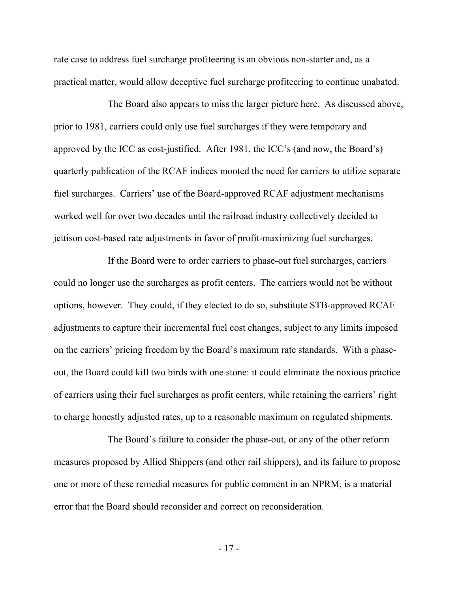rate case to address fuel surcharge profiteering is an obvious non-starter and, as a practical matter, would allow deceptive fuel surcharge profiteering to continue unabated.

The Board also appears to miss the larger picture here. As discussed above, prior to 1981, carriers could only use fuel surcharges if they were temporary and approved by the ICC as cost-justified. After 1981, the ICC's (and now, the Board's) quarterly publication of the RCAF indices mooted the need for carriers to utilize separate fuel surcharges. Carriers' use of the Board-approved RCAF adjustment mechanisms worked well for over two decades until the railroad industry collectively decided to jettison cost-based rate adjustments in favor of profit-maximizing fuel surcharges.

If the Board were to order carriers to phase-out fuel surcharges, carriers could no longer use the surcharges as profit centers. The carriers would not be without options, however. They could, if they elected to do so, substitute STB-approved RCAF adjustments to capture their incremental fuel cost changes, subject to any limits imposed on the carriers' pricing freedom by the Board's maximum rate standards. With a phaseout, the Board could kill two birds with one stone: it could eliminate the noxious practice of carriers using their fuel surcharges as profit centers, while retaining the carriers' right to charge honestly adjusted rates, up to a reasonable maximum on regulated shipments.

The Board's failure to consider the phase-out, or any of the other reform measures proposed by Allied Shippers (and other rail shippers), and its failure to propose one or more of these remedial measures for public comment in an NPRM, is a material error that the Board should reconsider and correct on reconsideration.

- 17 -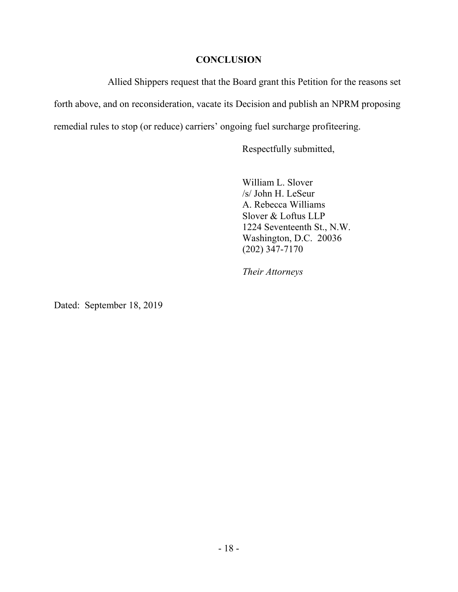#### **CONCLUSION**

Allied Shippers request that the Board grant this Petition for the reasons set forth above, and on reconsideration, vacate its Decision and publish an NPRM proposing remedial rules to stop (or reduce) carriers' ongoing fuel surcharge profiteering.

Respectfully submitted,

William L. Slover /s/ John H. LeSeur A. Rebecca Williams Slover & Loftus LLP 1224 Seventeenth St., N.W. Washington, D.C. 20036 (202) 347-7170

*Their Attorneys*

Dated: September 18, 2019